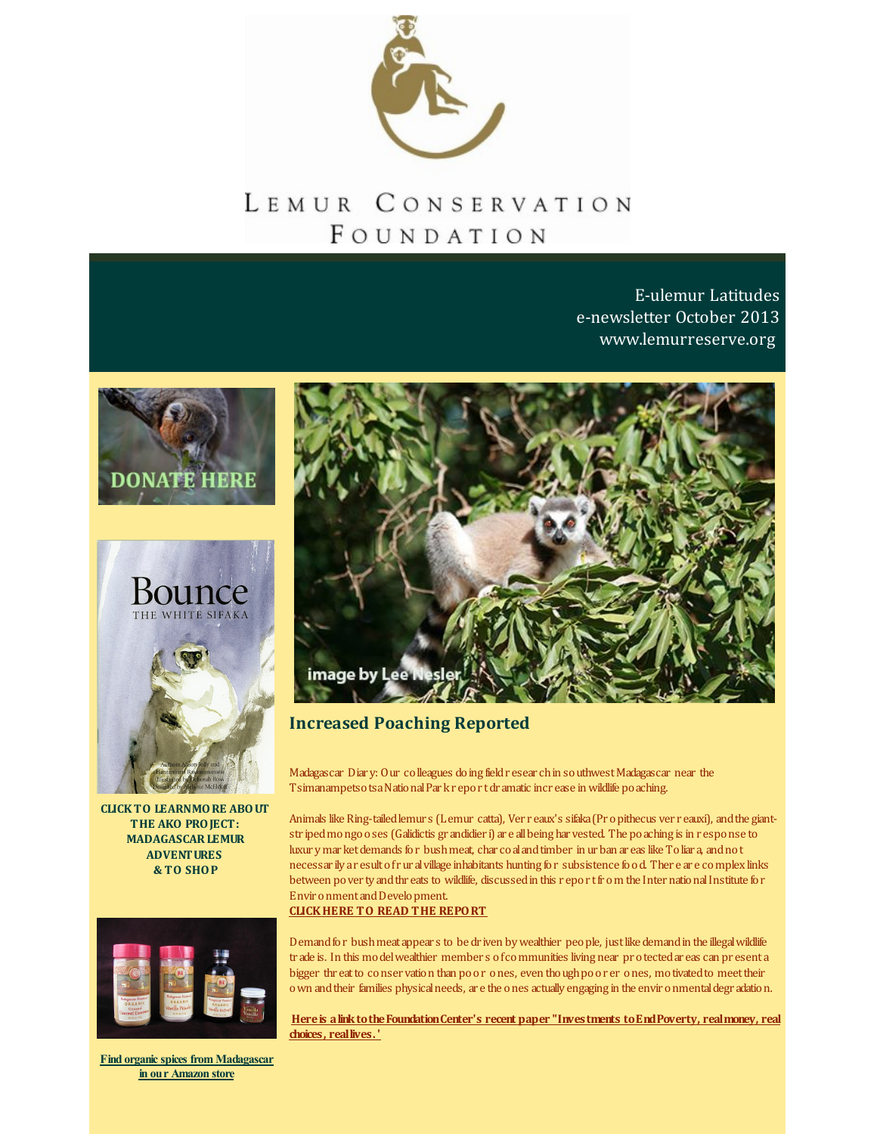

## LEMUR CONSERVATION FOUNDATION

E-ulemur Latitudes e-newsletter October 2013 [www.lemurreserve.org](http://www.lemurreserve.org)





**CLICKTO LEARNMORE ABOUT THE AKO PROJECT: [MADAGASCARLEMUR](http://r20.rs6.net/tn.jsp?f=001VU7FjSqVIHHyNHIS4ES1UkQRrUplQWDHa_nEf6d93wl7A5IjVMx7aQggVFEs3h8uxOEUPZsfU6S94_hXTBXTZjzqpivYE2nUvwsl5cPfDT5siSx7zK2AghLLkRCaAPPh5w5nelpOwcbgmTe0n6I8noXlyIvAcYZhKSODh2QI79HiqNC9P3wl5he3ofTaGfj09fqR5AP-RVfAnQqiJeoxSEIUEE5PkyMXzAzftKDla7mD5XUCor3SL99jF0nEV1MmMF7uehRHepE=&c=&ch=) ADVENTURES & TO SHOP**



**Find organic spices from [Madagascar](http://r20.rs6.net/tn.jsp?f=001VU7FjSqVIHHyNHIS4ES1UkQRrUplQWDHa_nEf6d93wl7A5IjVMx7adXv49rKUIunEBpeK3rgETTfm8AoOCIF6bQYSoyQfw7528D4vFgDXpv5_aTTbw3LMPG7ARWF7Il_62yit59O_FPU1epTJ05hAEkdgDqQFHGuTXk5VvM84qSsnnW24uA0aTr-m1ZCJmqGyXr6FPGuI6TLW-CAUsAUeg==&c=&ch=) in our Amazon store**



## **Increased Poaching Reported**

Madagascar Diar y: Our colleagues doing fieldr esear chin southwestMadagascar near the Tsimanampetsotsa National Par kr eport dramatic increase in wildlife poaching.

Animals like Ring-tailed lemur s (Lemur catta), Ver r eaux's sifaka (Pr o pithecus ver r eauxi), and the giantstr ipedmongooses (Galidictis gr andidier i) ar e allbeing har vested. The poaching is in r esponse to luxur y mar ket demands for bush meat, char coal and timber in urban ar eas like Toliar a, and not necessar ily ar esultofrur alvillage inhabitants hunting for subsistence food. Ther e ar e complex links between pover ty and thr eats to wildlife, discussed in this report from the International Institute for Envir onment and Development. **[CLICKHERE](http://r20.rs6.net/tn.jsp?f=001VU7FjSqVIHHyNHIS4ES1UkQRrUplQWDHa_nEf6d93wl7A5IjVMx7aQggVFEs3h8u-l9UkV00Es3zbOqHDGq3Grjm-sq5mubdsY0GILgyZJhrHPnrbBjcNs4UjrBF9dDeLZcxC4BaSeBG1gRWvqKs22SqFmCB3leeLJ8tWs-XN6g3WQDUXQp4McKmJKSETsJvy9oZII0bTMpPDI9RmTgJZEB4JZ36tbABRWF8AbelJsmhILnafqcgcrvQyV6pEGQlErIJt8vdGpA=&c=&ch=) TO READ THE REPORT**

Demand for bush meat appear s to be dr iven by wealthier people, just like demand in the illegal wildlife tr ade is. In this modelwealthier member s ofcommunities living near pr otectedar eas can pr esenta bigger thr eatto conser vation than poor ones, even thoughpoor er ones, motivatedto meettheir own andtheir families physicalneeds, ar e the ones actually engaging in the envir onmentaldegr adation.

**Hereis [alinktotheFoundationCenter's](http://r20.rs6.net/tn.jsp?f=001VU7FjSqVIHHyNHIS4ES1UkQRrUplQWDHa_nEf6d93wl7A5IjVMx7aQggVFEs3h8uiP_FlZ_WREUKZSwqIbcWyvLnz-Y1AYG_kYx-YEEUt6foiu8_ly01CsnnGVke_tjk2qQ55GwPWV8WF1TJb5MPSZU2r2w3vp2w_8UGomNHK68nR2MVpUBSIDlNKuPxKXiLXoyTR2iuYj2d8K1x5ivikRs7HV-UyNFUjsAbw9yViXOBx79ERba1KYzBk7GMZHBGDY3bNNzLRSw=&c=&ch=) recent paper "Investments toEndPoverty, realmoney, real choices, reallives. '**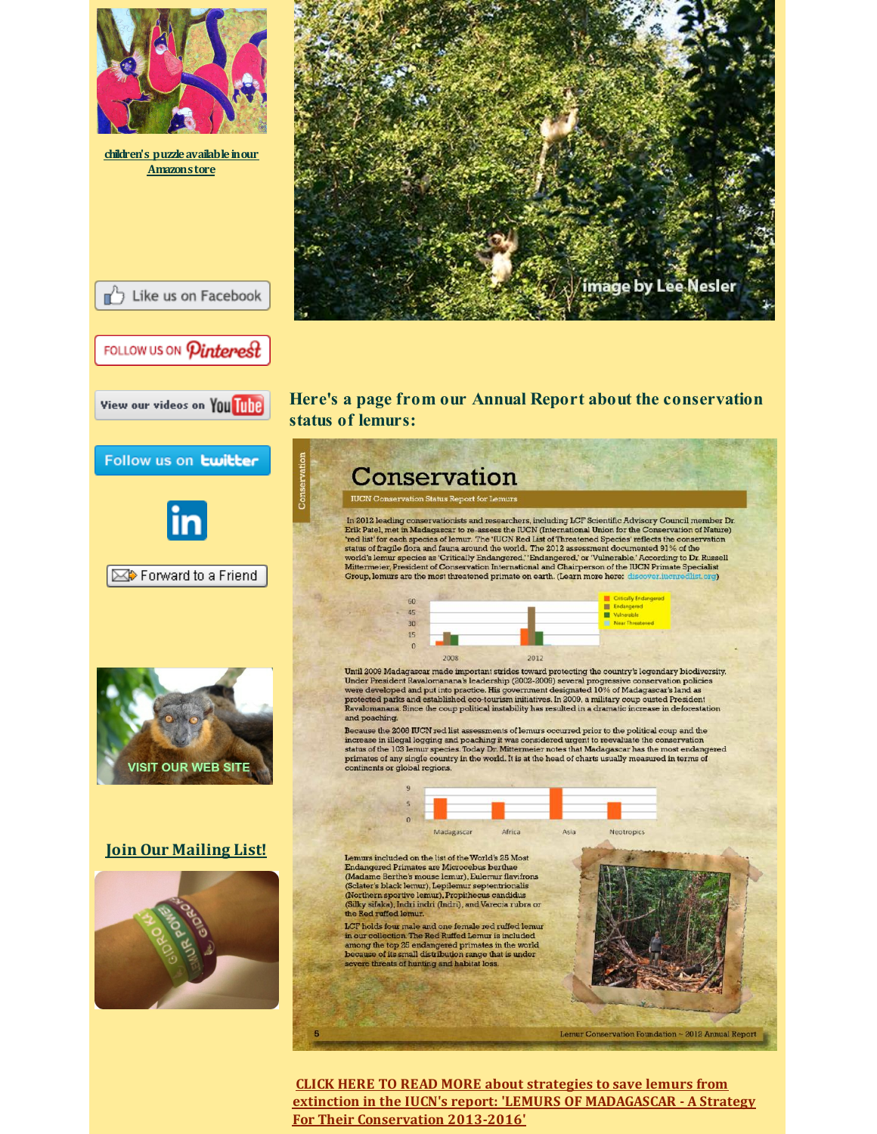

**CLICK HERE TO READ MORE about strategies to save lemurs from extinction in the IUCN's report: 'LEMURS OF [MADAGASCAR](http://r20.rs6.net/tn.jsp?f=001VU7FjSqVIHHyNHIS4ES1UkQRrUplQWDHa_nEf6d93wl7A5IjVMx7aQggVFEs3h8uB2t-nsI8zZD7AmI6QL5QFgJPzbngsrDq-f8kFi01Oqixje0hzKkfcUnnsVxGdjcV8a2ayXAlX8S0oP1sVAjAyK8ZAkRhHeQA8NTyNF6i4xnEbznd-Qa6D_HhiU4kFAWDS4CLqu6rtPk55g2vYohzKXo4FB_46o8aY7_xG0Ybr27XvSJbWc-U284v4JmRWCF5&c=&ch=) - A Strategy For Their Conservation 2013-2016'**